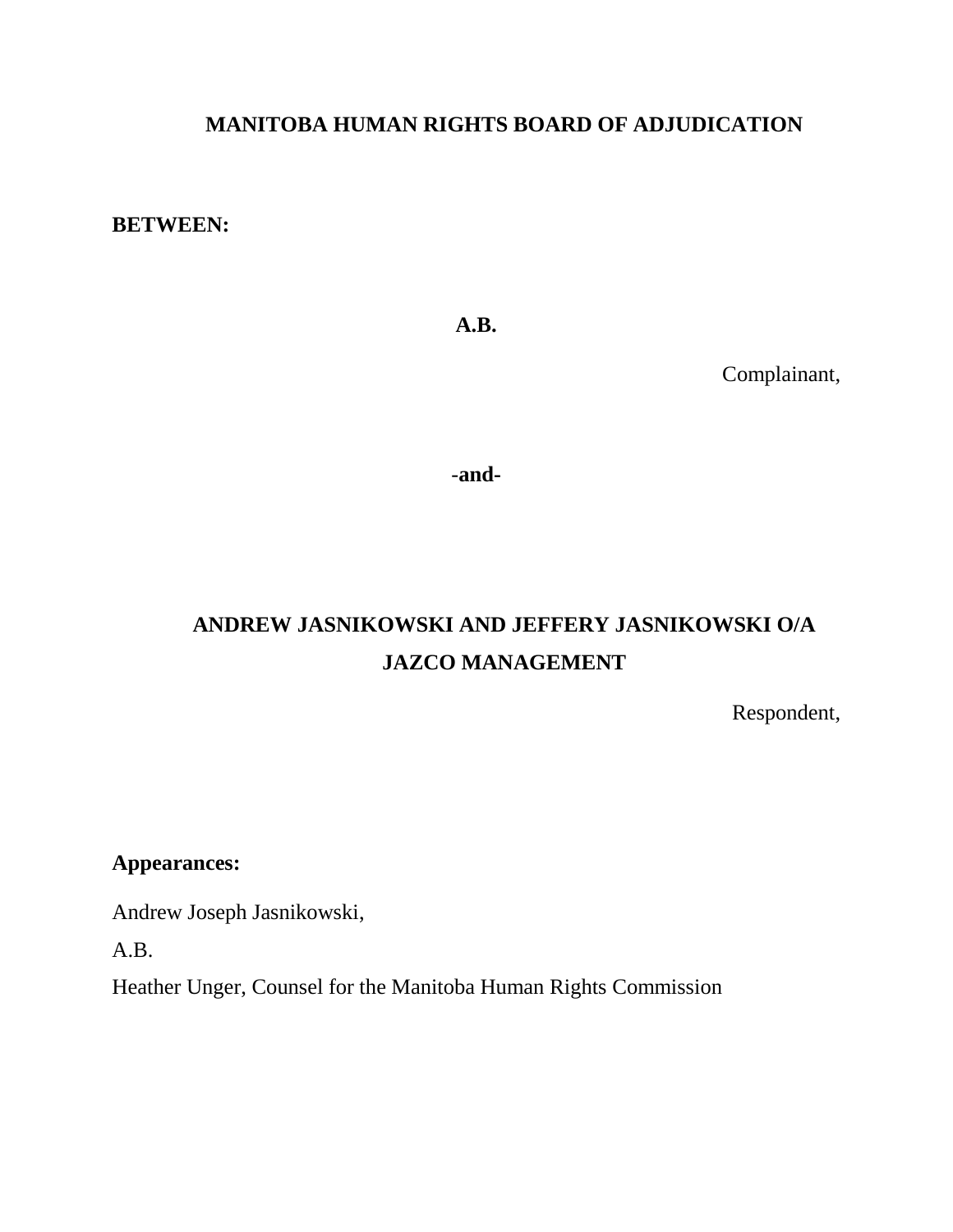## **MANITOBA HUMAN RIGHTS BOARD OF ADJUDICATION**

**BETWEEN:**

**A.B.**

Complainant,

-**and-**

# **ANDREW JASNIKOWSKI AND JEFFERY JASNIKOWSKI O/A JAZCO MANAGEMENT**

Respondent,

**Appearances:**

Andrew Joseph Jasnikowski,

A.B.

Heather Unger, Counsel for the Manitoba Human Rights Commission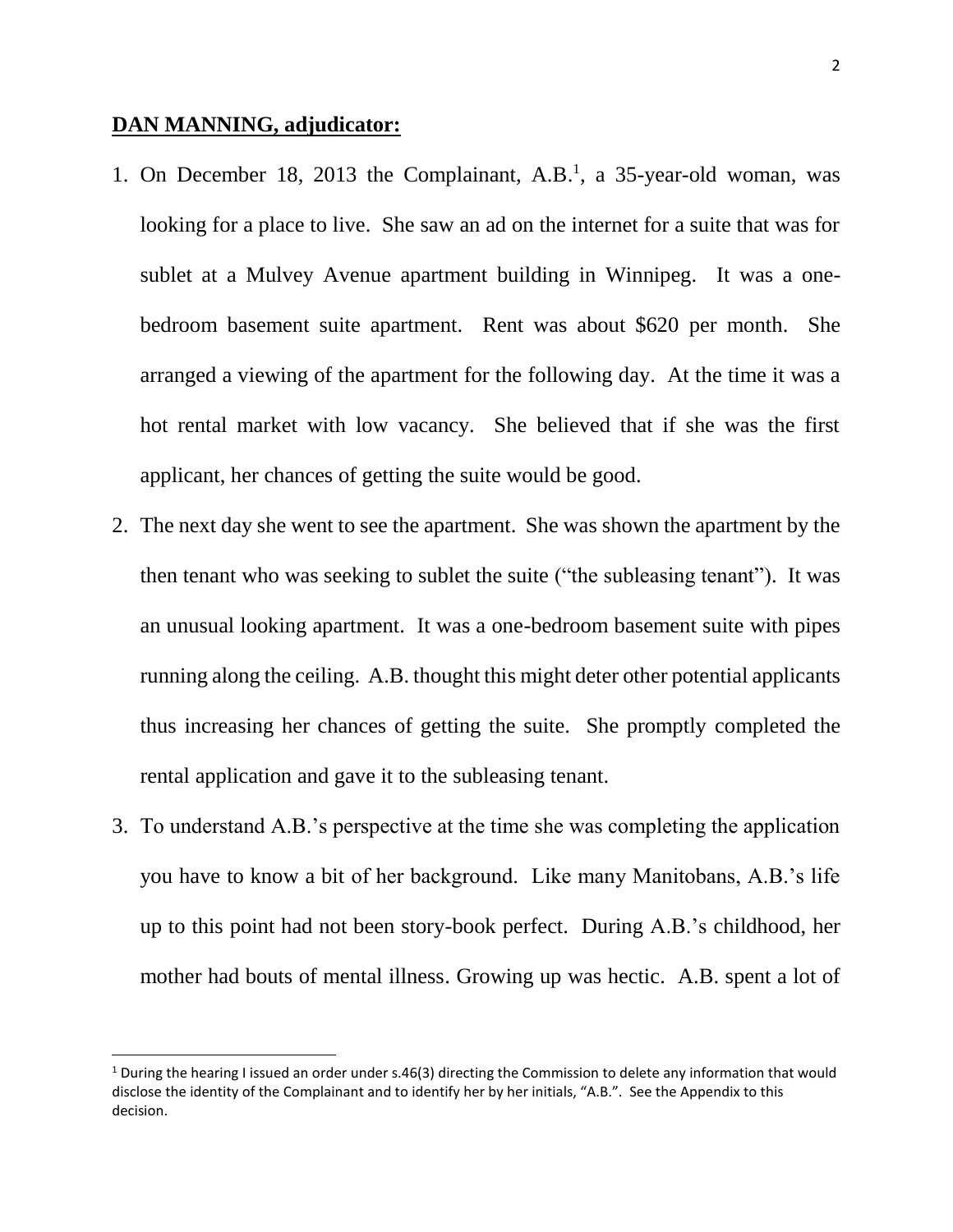### **DAN MANNING, adjudicator:**

 $\overline{a}$ 

- 1. On December 18, 2013 the Complainant, A.B.<sup>1</sup>, a 35-year-old woman, was looking for a place to live. She saw an ad on the internet for a suite that was for sublet at a Mulvey Avenue apartment building in Winnipeg. It was a onebedroom basement suite apartment. Rent was about \$620 per month. She arranged a viewing of the apartment for the following day. At the time it was a hot rental market with low vacancy. She believed that if she was the first applicant, her chances of getting the suite would be good.
- 2. The next day she went to see the apartment. She was shown the apartment by the then tenant who was seeking to sublet the suite ("the subleasing tenant"). It was an unusual looking apartment. It was a one-bedroom basement suite with pipes running along the ceiling. A.B. thought this might deter other potential applicants thus increasing her chances of getting the suite. She promptly completed the rental application and gave it to the subleasing tenant.
- 3. To understand A.B.'s perspective at the time she was completing the application you have to know a bit of her background. Like many Manitobans, A.B.'s life up to this point had not been story-book perfect. During A.B.'s childhood, her mother had bouts of mental illness. Growing up was hectic. A.B. spent a lot of

<sup>&</sup>lt;sup>1</sup> During the hearing I issued an order under s.46(3) directing the Commission to delete any information that would disclose the identity of the Complainant and to identify her by her initials, "A.B.". See the Appendix to this decision.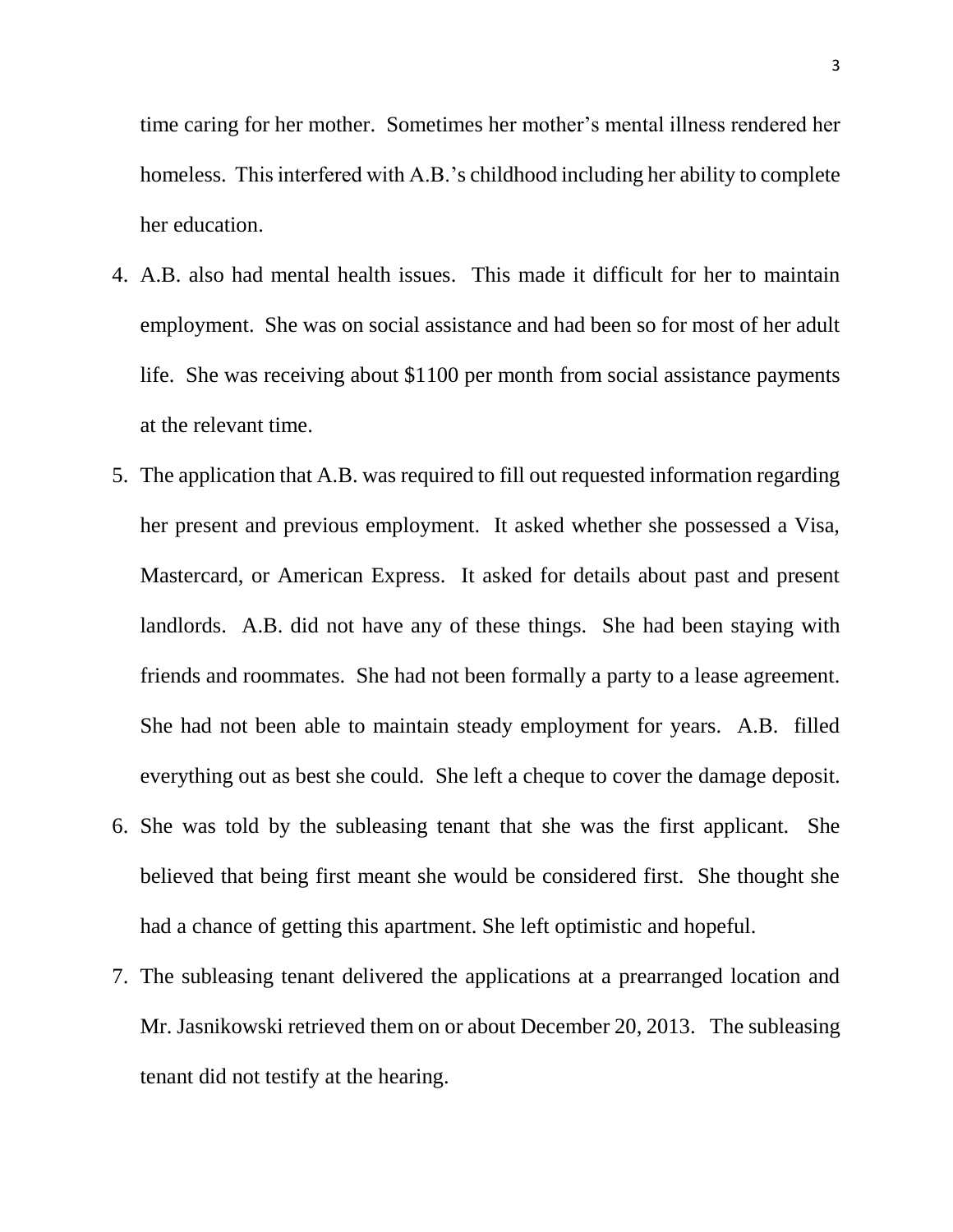time caring for her mother. Sometimes her mother's mental illness rendered her homeless. This interfered with A.B.'s childhood including her ability to complete her education.

- 4. A.B. also had mental health issues. This made it difficult for her to maintain employment. She was on social assistance and had been so for most of her adult life. She was receiving about \$1100 per month from social assistance payments at the relevant time.
- 5. The application that A.B. was required to fill out requested information regarding her present and previous employment. It asked whether she possessed a Visa, Mastercard, or American Express. It asked for details about past and present landlords. A.B. did not have any of these things. She had been staying with friends and roommates. She had not been formally a party to a lease agreement. She had not been able to maintain steady employment for years. A.B. filled everything out as best she could. She left a cheque to cover the damage deposit.
- 6. She was told by the subleasing tenant that she was the first applicant. She believed that being first meant she would be considered first. She thought she had a chance of getting this apartment. She left optimistic and hopeful.
- 7. The subleasing tenant delivered the applications at a prearranged location and Mr. Jasnikowski retrieved them on or about December 20, 2013. The subleasing tenant did not testify at the hearing.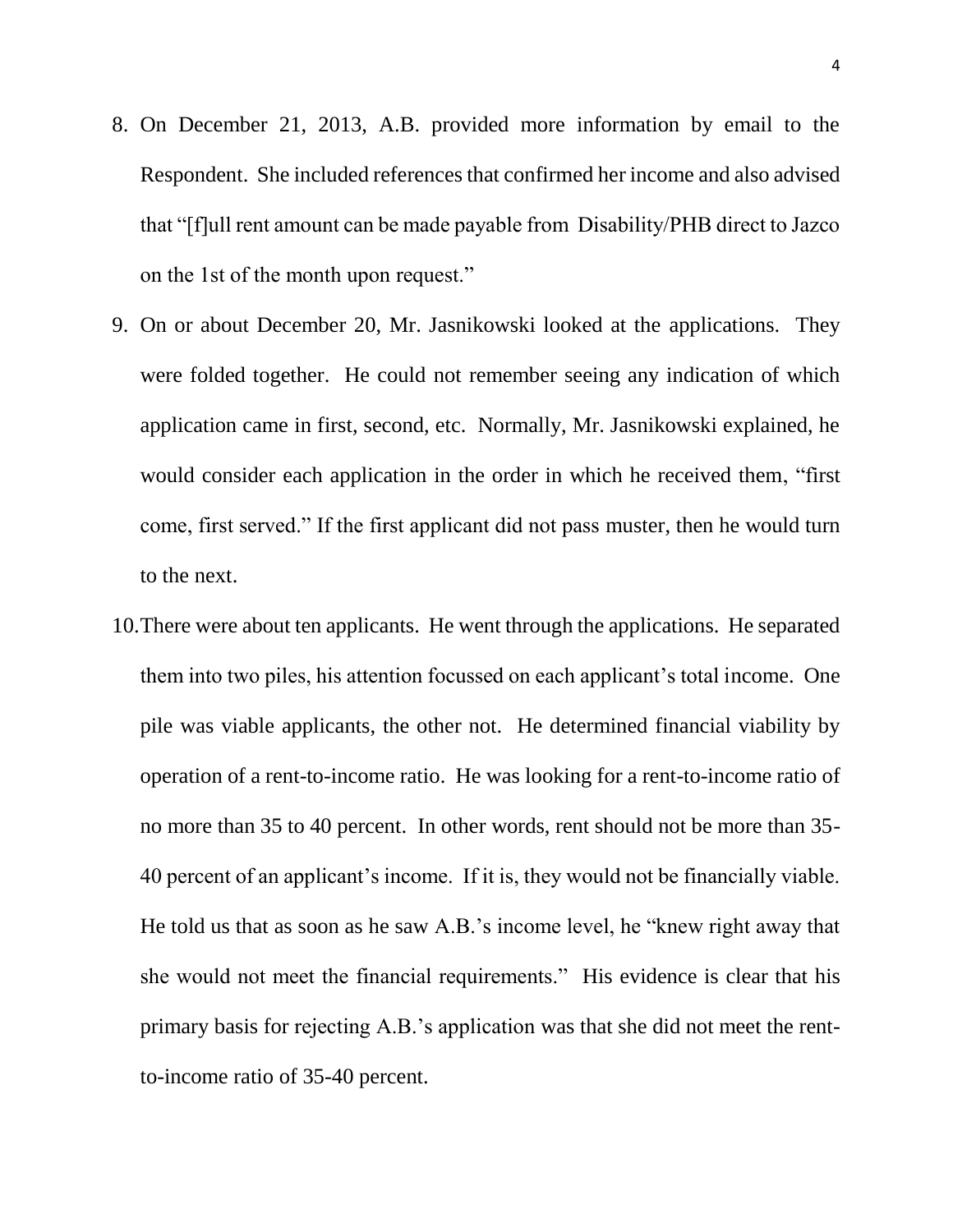- 8. On December 21, 2013, A.B. provided more information by email to the Respondent. She included references that confirmed her income and also advised that "[f]ull rent amount can be made payable from Disability/PHB direct to Jazco on the 1st of the month upon request."
- 9. On or about December 20, Mr. Jasnikowski looked at the applications. They were folded together. He could not remember seeing any indication of which application came in first, second, etc. Normally, Mr. Jasnikowski explained, he would consider each application in the order in which he received them, "first come, first served." If the first applicant did not pass muster, then he would turn to the next.
- 10.There were about ten applicants. He went through the applications. He separated them into two piles, his attention focussed on each applicant's total income. One pile was viable applicants, the other not. He determined financial viability by operation of a rent-to-income ratio. He was looking for a rent-to-income ratio of no more than 35 to 40 percent. In other words, rent should not be more than 35- 40 percent of an applicant's income. If it is, they would not be financially viable. He told us that as soon as he saw A.B.'s income level, he "knew right away that she would not meet the financial requirements." His evidence is clear that his primary basis for rejecting A.B.'s application was that she did not meet the rentto-income ratio of 35-40 percent.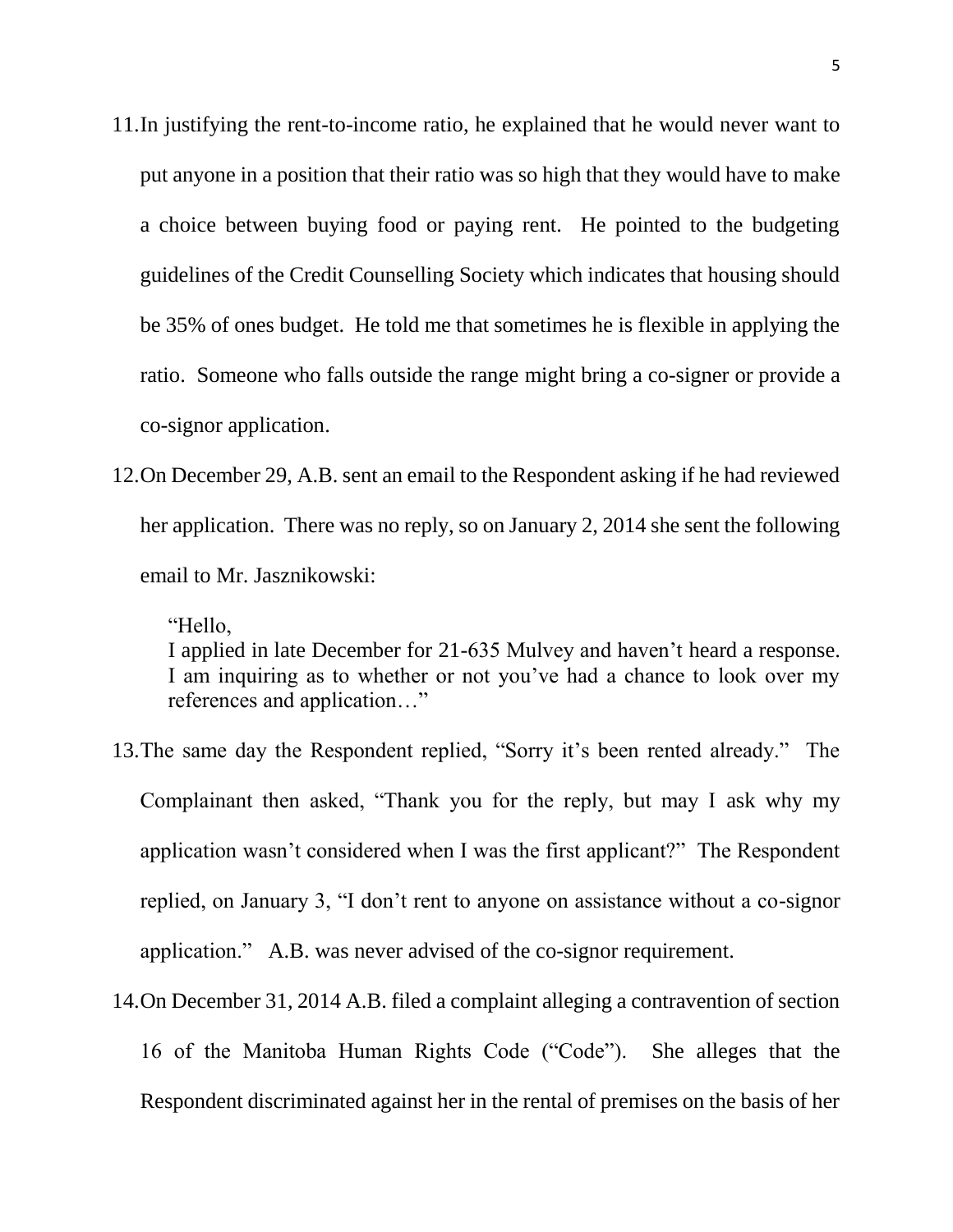- 11.In justifying the rent-to-income ratio, he explained that he would never want to put anyone in a position that their ratio was so high that they would have to make a choice between buying food or paying rent. He pointed to the budgeting guidelines of the Credit Counselling Society which indicates that housing should be 35% of ones budget. He told me that sometimes he is flexible in applying the ratio. Someone who falls outside the range might bring a co-signer or provide a co-signor application.
- 12.On December 29, A.B. sent an email to the Respondent asking if he had reviewed her application. There was no reply, so on January 2, 2014 she sent the following email to Mr. Jasznikowski:

"Hello, I applied in late December for 21-635 Mulvey and haven't heard a response. I am inquiring as to whether or not you've had a chance to look over my references and application…"

- 13.The same day the Respondent replied, "Sorry it's been rented already." The Complainant then asked, "Thank you for the reply, but may I ask why my application wasn't considered when I was the first applicant?" The Respondent replied, on January 3, "I don't rent to anyone on assistance without a co-signor application." A.B. was never advised of the co-signor requirement.
- 14.On December 31, 2014 A.B. filed a complaint alleging a contravention of section 16 of the Manitoba Human Rights Code ("Code"). She alleges that the Respondent discriminated against her in the rental of premises on the basis of her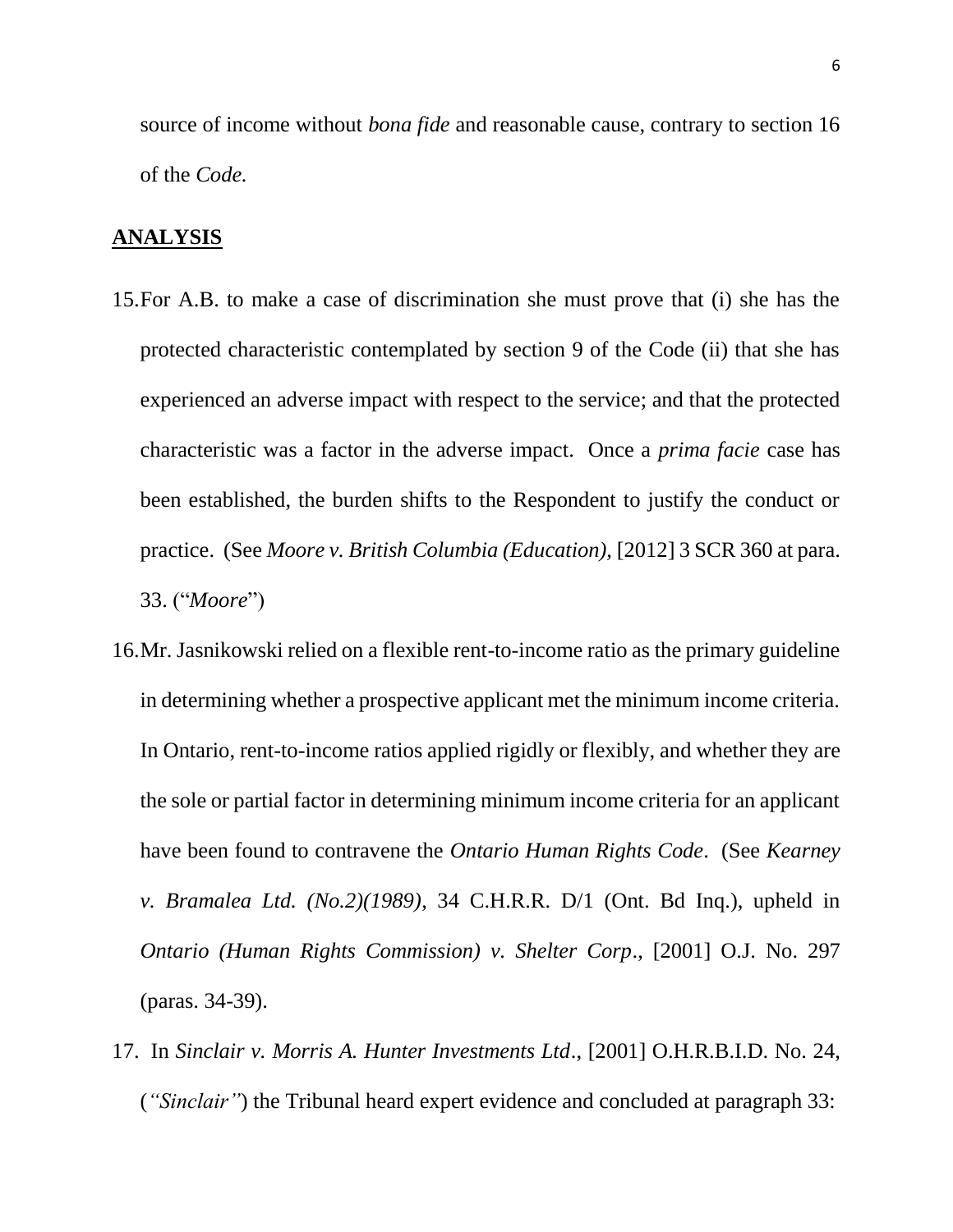source of income without *bona fide* and reasonable cause, contrary to section 16 of the *Code.*

#### **ANALYSIS**

- 15.For A.B. to make a case of discrimination she must prove that (i) she has the protected characteristic contemplated by section 9 of the Code (ii) that she has experienced an adverse impact with respect to the service; and that the protected characteristic was a factor in the adverse impact. Once a *prima facie* case has been established, the burden shifts to the Respondent to justify the conduct or practice. (See *Moore v. British Columbia (Education),* [2012] 3 SCR 360 at para. 33. ("*Moore*")
- 16.Mr. Jasnikowski relied on a flexible rent-to-income ratio as the primary guideline in determining whether a prospective applicant met the minimum income criteria. In Ontario, rent-to-income ratios applied rigidly or flexibly, and whether they are the sole or partial factor in determining minimum income criteria for an applicant have been found to contravene the *Ontario Human Rights Code*. (See *Kearney v. Bramalea Ltd. (No.2)(1989)*, 34 C.H.R.R. D/1 (Ont. Bd Inq.), upheld in *Ontario (Human Rights Commission) v. Shelter Corp*., [2001] O.J. No. 297 (paras. 34-39).
- 17. In *Sinclair v. Morris A. Hunter Investments Ltd*., [2001] O.H.R.B.I.D. No. 24, (*"Sinclair"*) the Tribunal heard expert evidence and concluded at paragraph 33: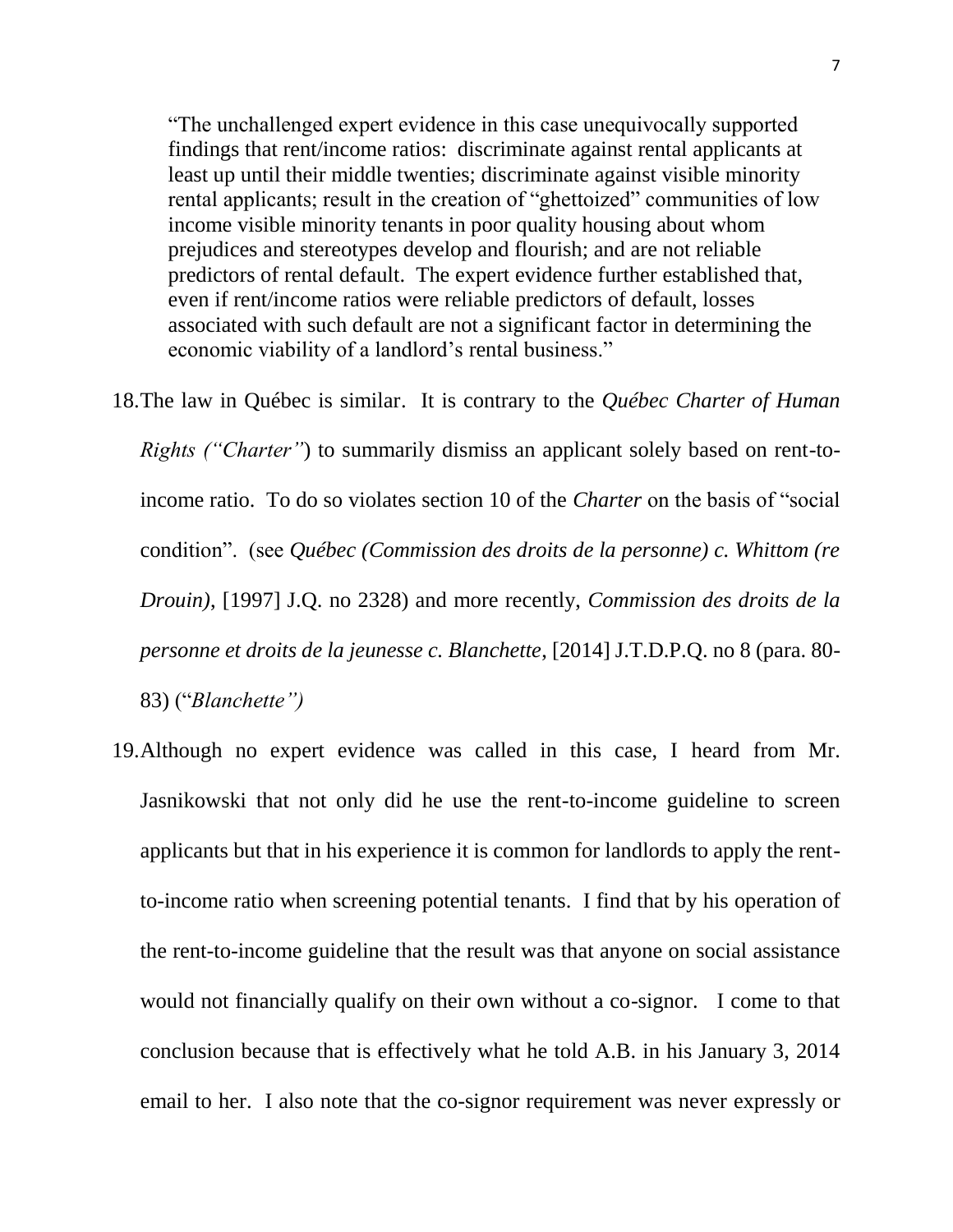"The unchallenged expert evidence in this case unequivocally supported findings that rent/income ratios: discriminate against rental applicants at least up until their middle twenties; discriminate against visible minority rental applicants; result in the creation of "ghettoized" communities of low income visible minority tenants in poor quality housing about whom prejudices and stereotypes develop and flourish; and are not reliable predictors of rental default. The expert evidence further established that, even if rent/income ratios were reliable predictors of default, losses associated with such default are not a significant factor in determining the economic viability of a landlord's rental business."

- 18.The law in Québec is similar. It is contrary to the *Québec Charter of Human Rights ("Charter"*) to summarily dismiss an applicant solely based on rent-toincome ratio. To do so violates section 10 of the *Charter* on the basis of "social condition". (see *Québec (Commission des droits de la personne) c. Whittom (re Drouin)*, [1997] J.Q. no 2328) and more recently, *Commission des droits de la personne et droits de la jeunesse c. Blanchette*, [2014] J.T.D.P.Q. no 8 (para. 80- 83) ("*Blanchette")*
- 19.Although no expert evidence was called in this case, I heard from Mr. Jasnikowski that not only did he use the rent-to-income guideline to screen applicants but that in his experience it is common for landlords to apply the rentto-income ratio when screening potential tenants. I find that by his operation of the rent-to-income guideline that the result was that anyone on social assistance would not financially qualify on their own without a co-signor. I come to that conclusion because that is effectively what he told A.B. in his January 3, 2014 email to her. I also note that the co-signor requirement was never expressly or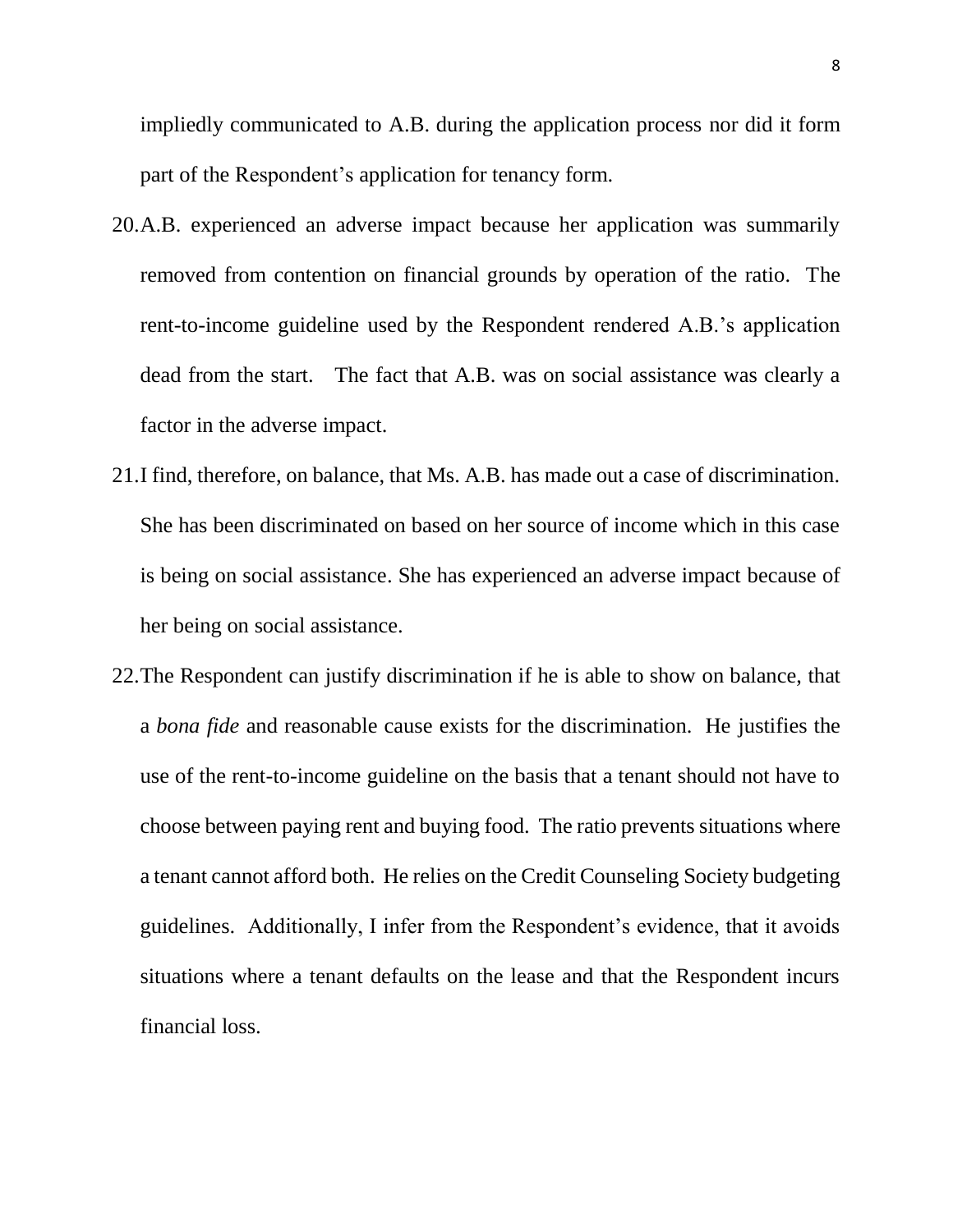impliedly communicated to A.B. during the application process nor did it form part of the Respondent's application for tenancy form.

- 20.A.B. experienced an adverse impact because her application was summarily removed from contention on financial grounds by operation of the ratio. The rent-to-income guideline used by the Respondent rendered A.B.'s application dead from the start. The fact that A.B. was on social assistance was clearly a factor in the adverse impact.
- 21.I find, therefore, on balance, that Ms. A.B. has made out a case of discrimination. She has been discriminated on based on her source of income which in this case is being on social assistance. She has experienced an adverse impact because of her being on social assistance.
- 22.The Respondent can justify discrimination if he is able to show on balance, that a *bona fide* and reasonable cause exists for the discrimination. He justifies the use of the rent-to-income guideline on the basis that a tenant should not have to choose between paying rent and buying food. The ratio prevents situations where a tenant cannot afford both. He relies on the Credit Counseling Society budgeting guidelines. Additionally, I infer from the Respondent's evidence, that it avoids situations where a tenant defaults on the lease and that the Respondent incurs financial loss.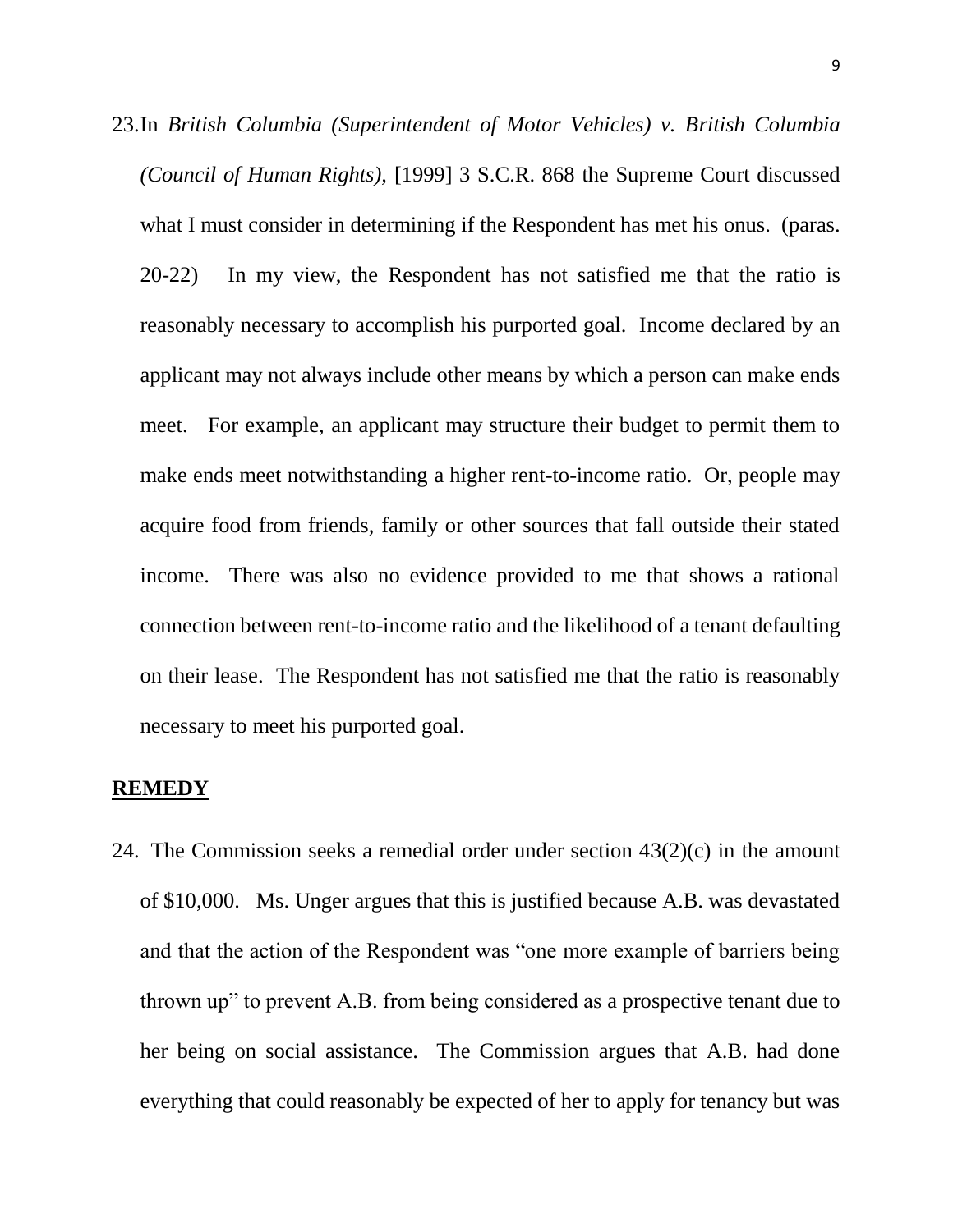23.In *British Columbia (Superintendent of Motor Vehicles) v. British Columbia (Council of Human Rights),* [1999] 3 S.C.R. 868 the Supreme Court discussed what I must consider in determining if the Respondent has met his onus. (paras. 20-22) In my view, the Respondent has not satisfied me that the ratio is reasonably necessary to accomplish his purported goal. Income declared by an applicant may not always include other means by which a person can make ends meet. For example, an applicant may structure their budget to permit them to make ends meet notwithstanding a higher rent-to-income ratio. Or, people may acquire food from friends, family or other sources that fall outside their stated income. There was also no evidence provided to me that shows a rational connection between rent-to-income ratio and the likelihood of a tenant defaulting on their lease. The Respondent has not satisfied me that the ratio is reasonably necessary to meet his purported goal.

#### **REMEDY**

24. The Commission seeks a remedial order under section  $43(2)(c)$  in the amount of \$10,000. Ms. Unger argues that this is justified because A.B. was devastated and that the action of the Respondent was "one more example of barriers being thrown up" to prevent A.B. from being considered as a prospective tenant due to her being on social assistance. The Commission argues that A.B. had done everything that could reasonably be expected of her to apply for tenancy but was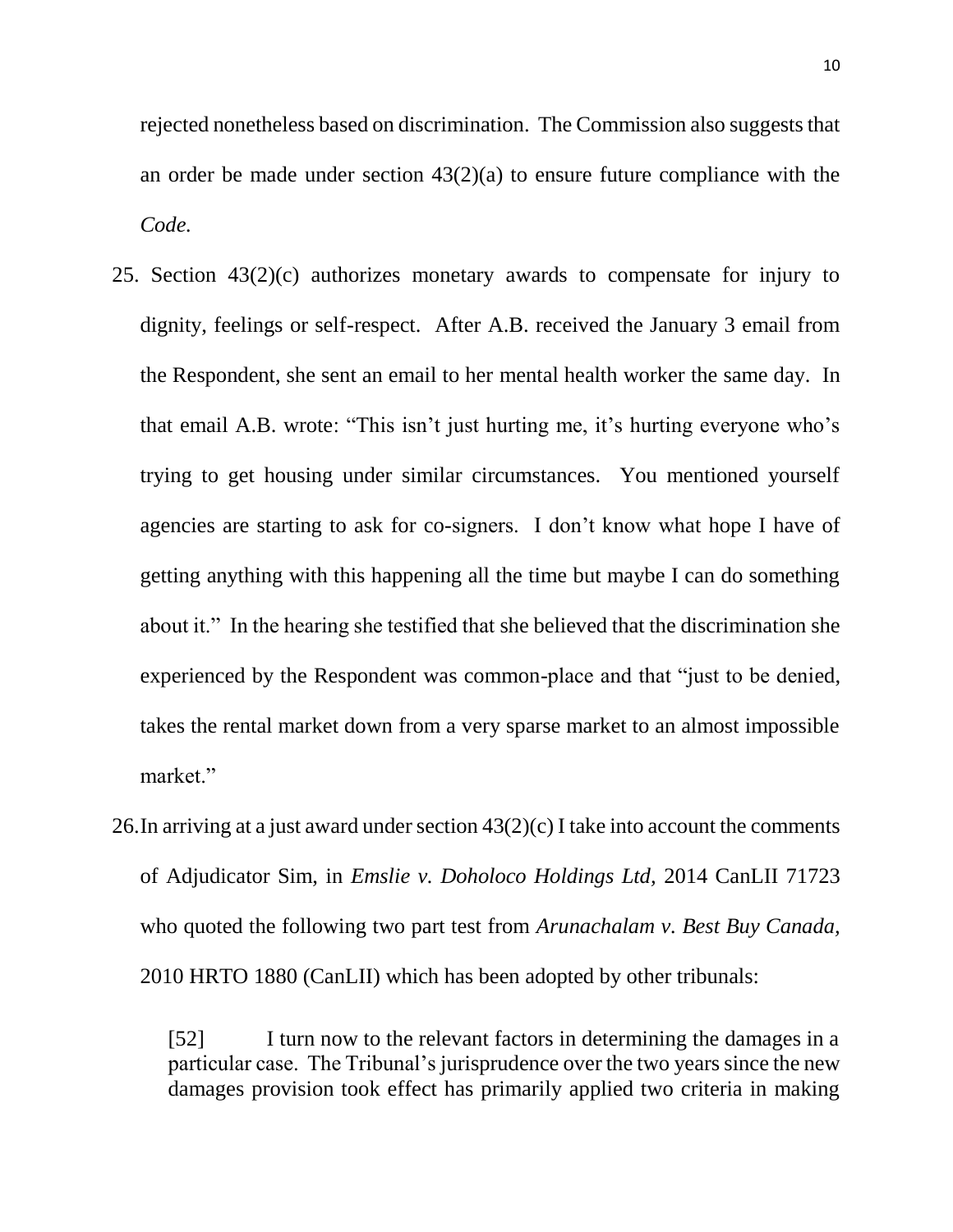rejected nonetheless based on discrimination. The Commission also suggests that an order be made under section 43(2)(a) to ensure future compliance with the *Code.*

- 25. Section 43(2)(c) authorizes monetary awards to compensate for injury to dignity, feelings or self-respect. After A.B. received the January 3 email from the Respondent, she sent an email to her mental health worker the same day. In that email A.B. wrote: "This isn't just hurting me, it's hurting everyone who's trying to get housing under similar circumstances. You mentioned yourself agencies are starting to ask for co-signers. I don't know what hope I have of getting anything with this happening all the time but maybe I can do something about it." In the hearing she testified that she believed that the discrimination she experienced by the Respondent was common-place and that "just to be denied, takes the rental market down from a very sparse market to an almost impossible market."
- 26.In arriving at a just award under section 43(2)(c) I take into account the comments of Adjudicator Sim, in *Emslie v. Doholoco Holdings Ltd,* 2014 CanLII 71723 who quoted the following two part test from *Arunachalam v. Best Buy Canada,*  2010 HRTO 1880 (CanLII) which has been adopted by other tribunals:

[52] I turn now to the relevant factors in determining the damages in a particular case. The Tribunal's jurisprudence over the two years since the new damages provision took effect has primarily applied two criteria in making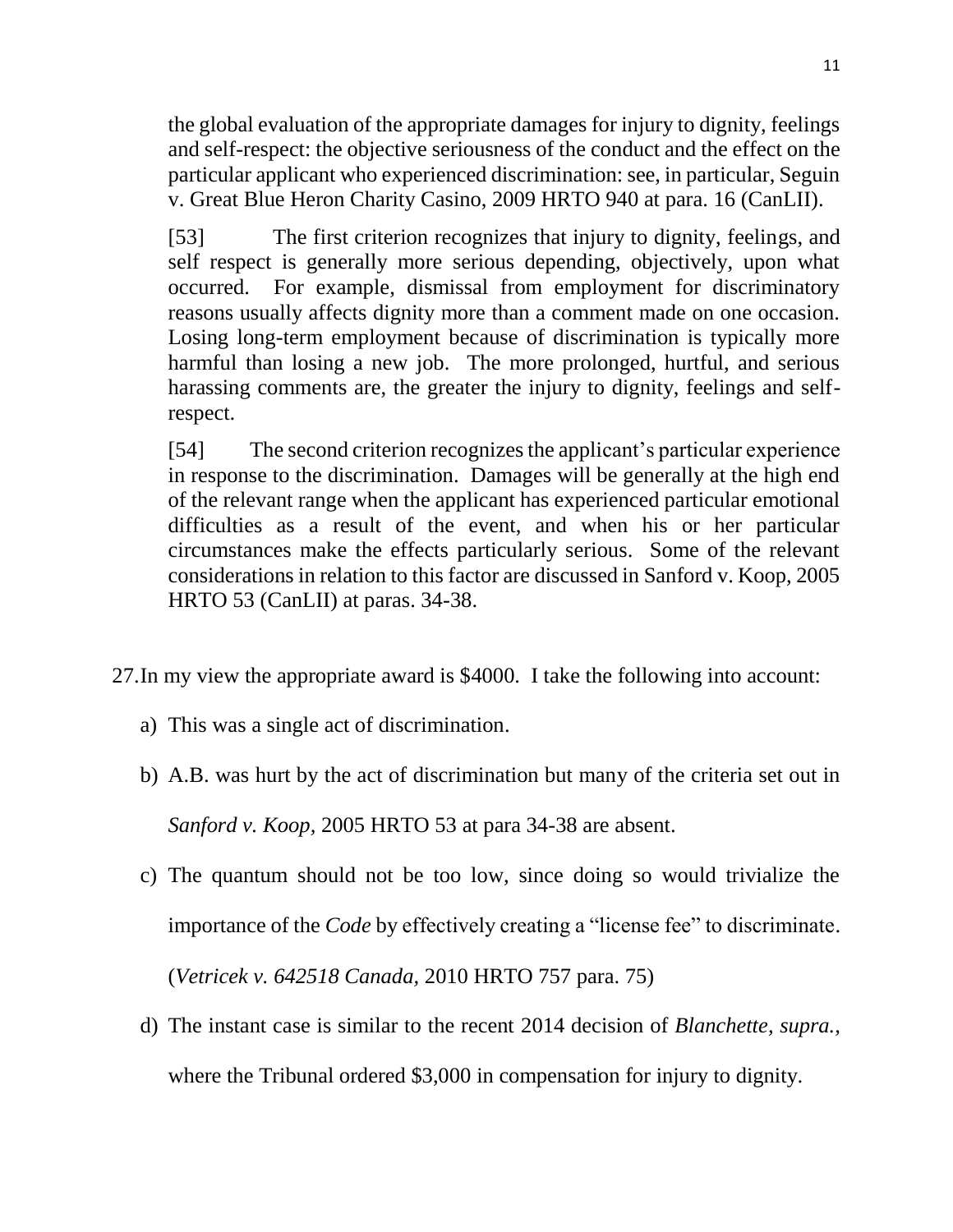the global evaluation of the appropriate damages for injury to dignity, feelings and self-respect: the objective seriousness of the conduct and the effect on the particular applicant who experienced discrimination: see, in particular, Seguin v. Great Blue Heron Charity Casino, 2009 HRTO 940 at para. 16 (CanLII).

[53] The first criterion recognizes that injury to dignity, feelings, and self respect is generally more serious depending, objectively, upon what occurred. For example, dismissal from employment for discriminatory reasons usually affects dignity more than a comment made on one occasion. Losing long-term employment because of discrimination is typically more harmful than losing a new job. The more prolonged, hurtful, and serious harassing comments are, the greater the injury to dignity, feelings and selfrespect.

[54] The second criterion recognizes the applicant's particular experience in response to the discrimination. Damages will be generally at the high end of the relevant range when the applicant has experienced particular emotional difficulties as a result of the event, and when his or her particular circumstances make the effects particularly serious. Some of the relevant considerations in relation to this factor are discussed in Sanford v. Koop, 2005 HRTO 53 (CanLII) at paras. 34-38.

- 27.In my view the appropriate award is \$4000. I take the following into account:
	- a) This was a single act of discrimination.
	- b) A.B. was hurt by the act of discrimination but many of the criteria set out in *Sanford v. Koop,* 2005 HRTO 53 at para 34-38 are absent.
	- c) The quantum should not be too low, since doing so would trivialize the importance of the *Code* by effectively creating a "license fee" to discriminate. (*Vetricek v. 642518 Canada,* 2010 HRTO 757 para. 75)
	- d) The instant case is similar to the recent 2014 decision of *Blanchette, supra.,* where the Tribunal ordered \$3,000 in compensation for injury to dignity.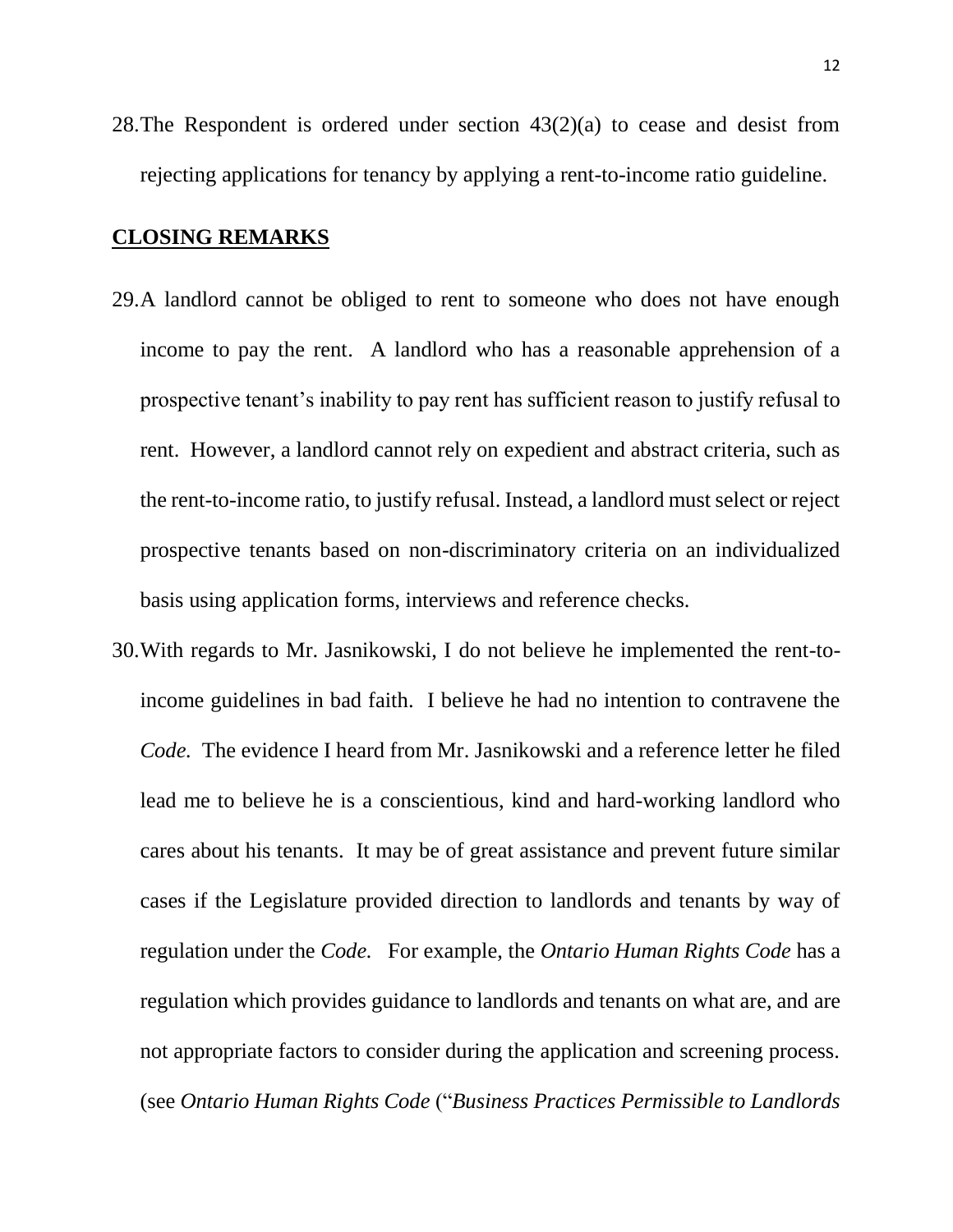28. The Respondent is ordered under section  $43(2)(a)$  to cease and desist from rejecting applications for tenancy by applying a rent-to-income ratio guideline.

## **CLOSING REMARKS**

- 29.A landlord cannot be obliged to rent to someone who does not have enough income to pay the rent. A landlord who has a reasonable apprehension of a prospective tenant's inability to pay rent has sufficient reason to justify refusal to rent. However, a landlord cannot rely on expedient and abstract criteria, such as the rent-to-income ratio, to justify refusal. Instead, a landlord must select or reject prospective tenants based on non-discriminatory criteria on an individualized basis using application forms, interviews and reference checks.
- 30.With regards to Mr. Jasnikowski, I do not believe he implemented the rent-toincome guidelines in bad faith. I believe he had no intention to contravene the *Code.* The evidence I heard from Mr. Jasnikowski and a reference letter he filed lead me to believe he is a conscientious, kind and hard-working landlord who cares about his tenants. It may be of great assistance and prevent future similar cases if the Legislature provided direction to landlords and tenants by way of regulation under the *Code.* For example, the *Ontario Human Rights Code* has a regulation which provides guidance to landlords and tenants on what are, and are not appropriate factors to consider during the application and screening process. (see *Ontario Human Rights Code* ("*Business Practices Permissible to Landlords*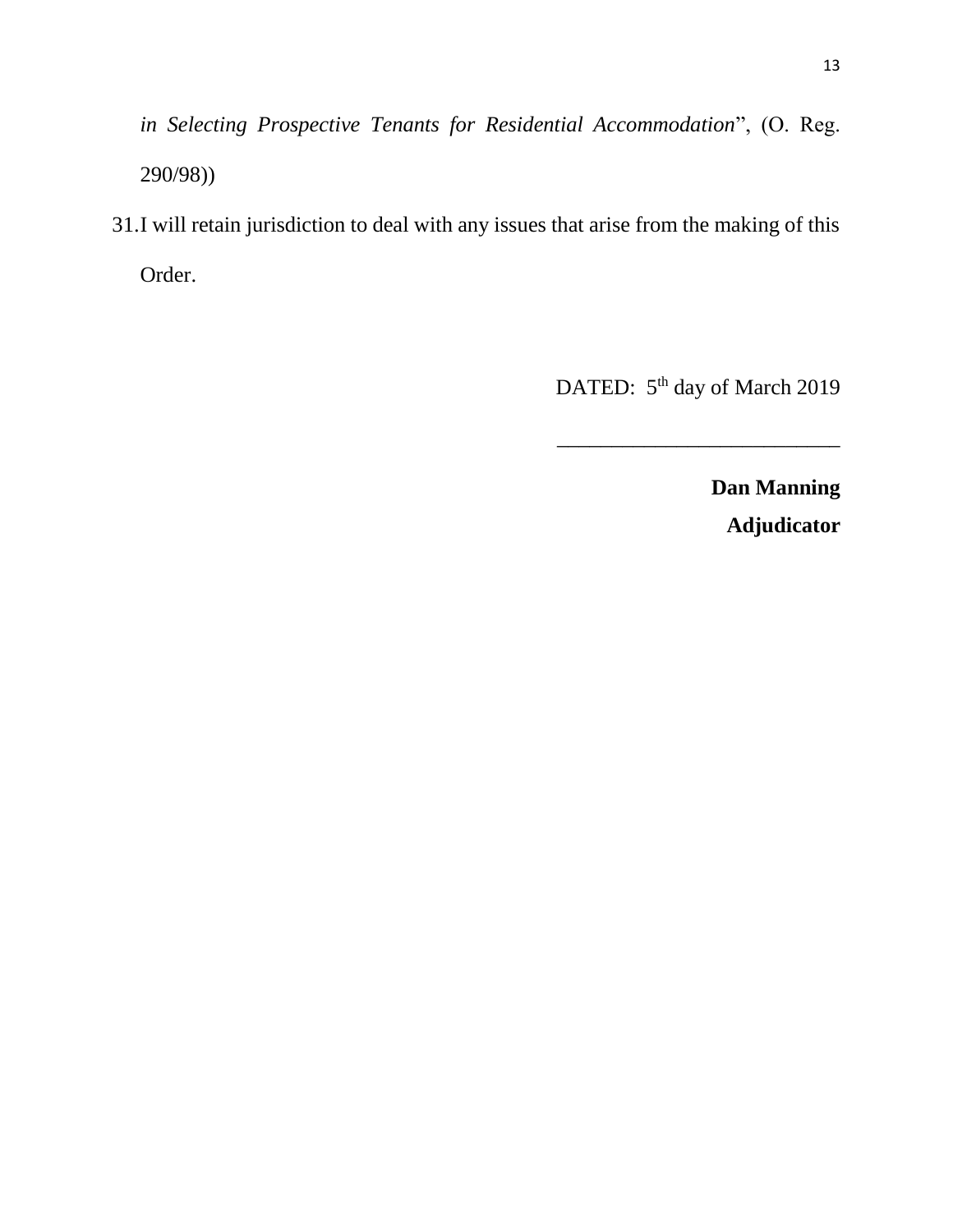*in Selecting Prospective Tenants for Residential Accommodation*", (O. Reg. 290/98))

31.I will retain jurisdiction to deal with any issues that arise from the making of this Order.

DATED: 5<sup>th</sup> day of March 2019

\_\_\_\_\_\_\_\_\_\_\_\_\_\_\_\_\_\_\_\_\_\_\_\_\_\_

**Dan Manning Adjudicator**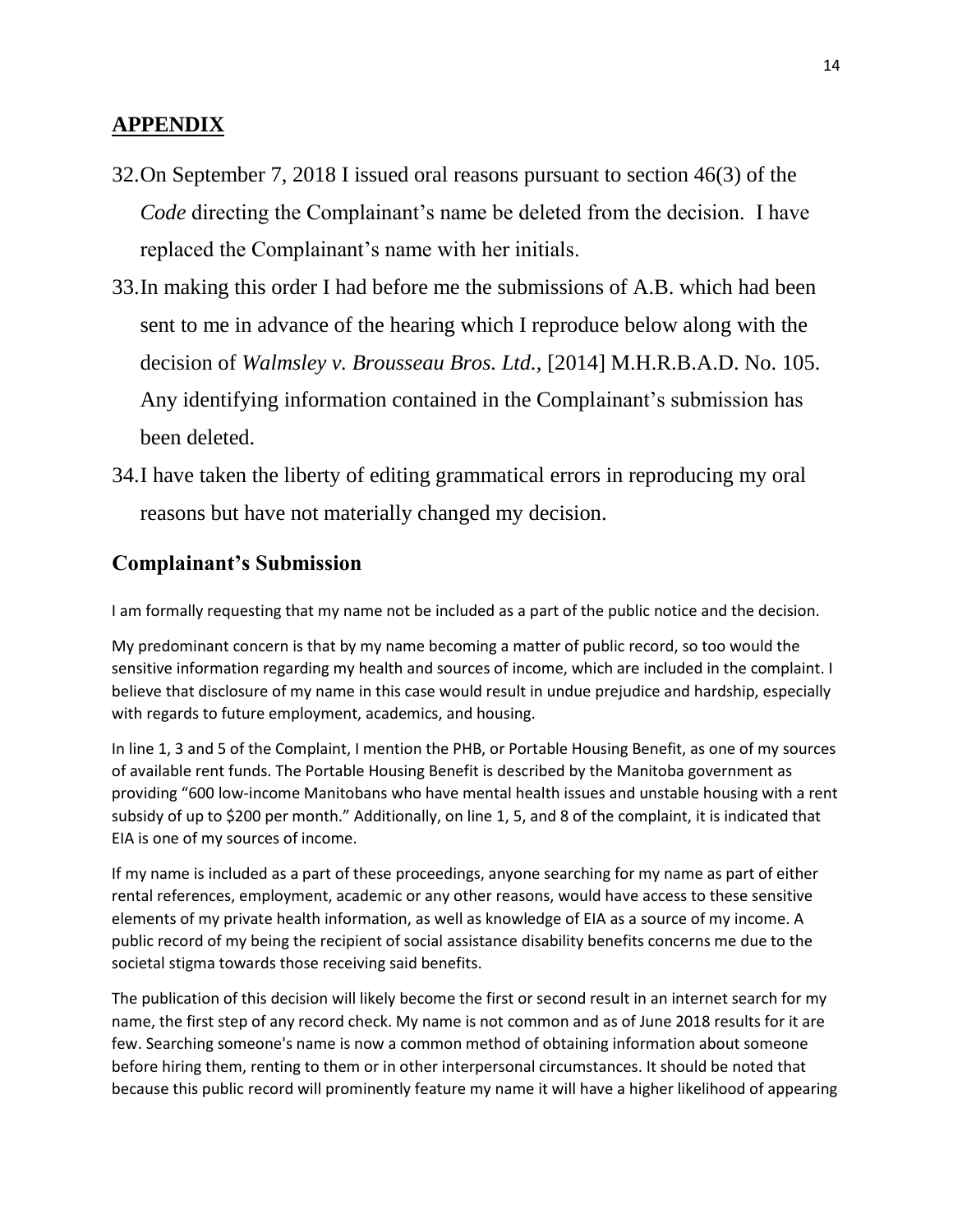## **APPENDIX**

- 32.On September 7, 2018 I issued oral reasons pursuant to section 46(3) of the *Code* directing the Complainant's name be deleted from the decision. I have replaced the Complainant's name with her initials.
- 33.In making this order I had before me the submissions of A.B. which had been sent to me in advance of the hearing which I reproduce below along with the decision of *Walmsley v. Brousseau Bros. Ltd.,* [2014] M.H.R.B.A.D. No. 105. Any identifying information contained in the Complainant's submission has been deleted.
- 34.I have taken the liberty of editing grammatical errors in reproducing my oral reasons but have not materially changed my decision.

## **Complainant's Submission**

I am formally requesting that my name not be included as a part of the public notice and the decision.

My predominant concern is that by my name becoming a matter of public record, so too would the sensitive information regarding my health and sources of income, which are included in the complaint. I believe that disclosure of my name in this case would result in undue prejudice and hardship, especially with regards to future employment, academics, and housing.

In line 1, 3 and 5 of the Complaint, I mention the PHB, or Portable Housing Benefit, as one of my sources of available rent funds. The Portable Housing Benefit is described by the Manitoba government as providing "600 low-income Manitobans who have mental health issues and unstable housing with a rent subsidy of up to \$200 per month." Additionally, on line 1, 5, and 8 of the complaint, it is indicated that EIA is one of my sources of income.

If my name is included as a part of these proceedings, anyone searching for my name as part of either rental references, employment, academic or any other reasons, would have access to these sensitive elements of my private health information, as well as knowledge of EIA as a source of my income. A public record of my being the recipient of social assistance disability benefits concerns me due to the societal stigma towards those receiving said benefits.

The publication of this decision will likely become the first or second result in an internet search for my name, the first step of any record check. My name is not common and as of June 2018 results for it are few. Searching someone's name is now a common method of obtaining information about someone before hiring them, renting to them or in other interpersonal circumstances. It should be noted that because this public record will prominently feature my name it will have a higher likelihood of appearing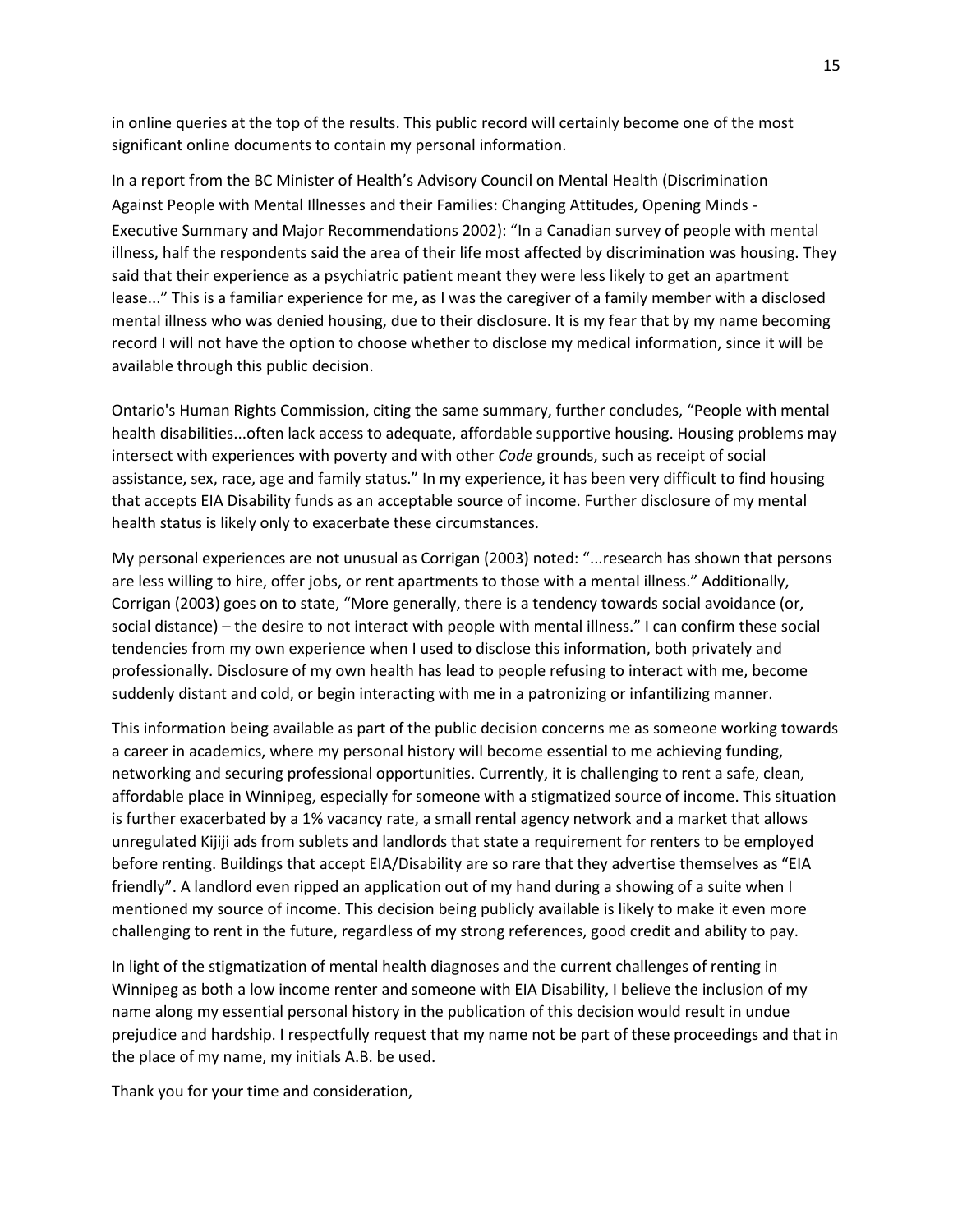in online queries at the top of the results. This public record will certainly become one of the most significant online documents to contain my personal information.

In a report from the BC Minister of Health's Advisory Council on Mental Health (Discrimination Against People with Mental Illnesses and their Families: Changing Attitudes, Opening Minds - Executive Summary and Major Recommendations 2002): "In a Canadian survey of people with mental illness, half the respondents said the area of their life most affected by discrimination was housing. They said that their experience as a psychiatric patient meant they were less likely to get an apartment lease..." This is a familiar experience for me, as I was the caregiver of a family member with a disclosed mental illness who was denied housing, due to their disclosure. It is my fear that by my name becoming record I will not have the option to choose whether to disclose my medical information, since it will be available through this public decision.

Ontario's Human Rights Commission, citing the same summary, further concludes, "People with mental health disabilities...often lack access to adequate, affordable supportive housing. Housing problems may intersect with experiences with poverty and with other *Code* grounds, such as receipt of social assistance, sex, race, age and family status." In my experience, it has been very difficult to find housing that accepts EIA Disability funds as an acceptable source of income. Further disclosure of my mental health status is likely only to exacerbate these circumstances.

My personal experiences are not unusual as Corrigan (2003) noted: "...research has shown that persons are less willing to hire, offer jobs, or rent apartments to those with a mental illness." Additionally, Corrigan (2003) goes on to state, "More generally, there is a tendency towards social avoidance (or, social distance) – the desire to not interact with people with mental illness." I can confirm these social tendencies from my own experience when I used to disclose this information, both privately and professionally. Disclosure of my own health has lead to people refusing to interact with me, become suddenly distant and cold, or begin interacting with me in a patronizing or infantilizing manner.

This information being available as part of the public decision concerns me as someone working towards a career in academics, where my personal history will become essential to me achieving funding, networking and securing professional opportunities. Currently, it is challenging to rent a safe, clean, affordable place in Winnipeg, especially for someone with a stigmatized source of income. This situation is further exacerbated by a 1% vacancy rate, a small rental agency network and a market that allows unregulated Kijiji ads from sublets and landlords that state a requirement for renters to be employed before renting. Buildings that accept EIA/Disability are so rare that they advertise themselves as "EIA friendly". A landlord even ripped an application out of my hand during a showing of a suite when I mentioned my source of income. This decision being publicly available is likely to make it even more challenging to rent in the future, regardless of my strong references, good credit and ability to pay.

In light of the stigmatization of mental health diagnoses and the current challenges of renting in Winnipeg as both a low income renter and someone with EIA Disability, I believe the inclusion of my name along my essential personal history in the publication of this decision would result in undue prejudice and hardship. I respectfully request that my name not be part of these proceedings and that in the place of my name, my initials A.B. be used.

Thank you for your time and consideration,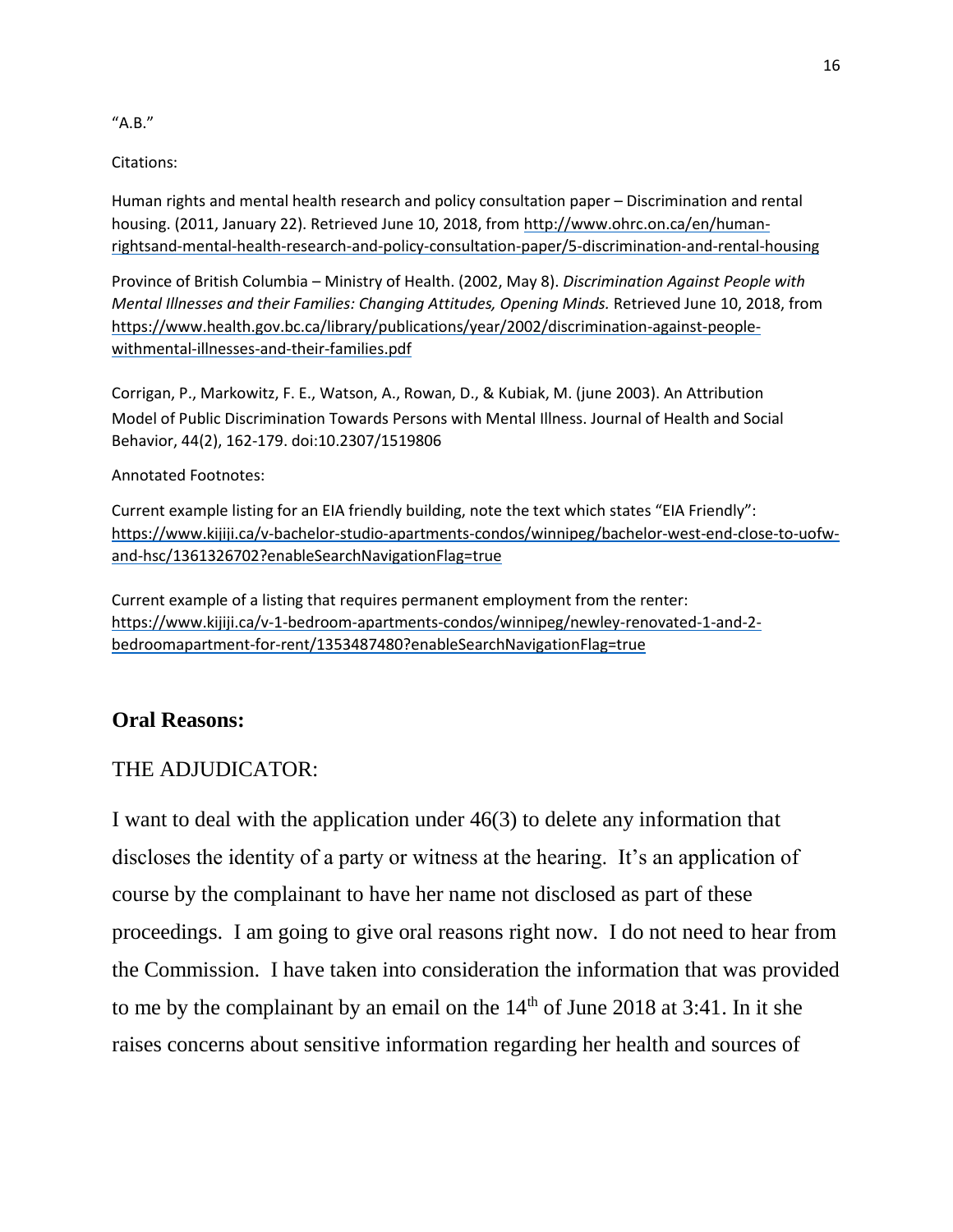#### "A.B."

Citations:

Human rights and mental health research and policy consultation paper – Discrimination and rental housing. (2011, January 22). Retrieved June 10, 2018, fro[m http://www.ohrc.on.ca/en/human](http://www.ohrc.on.ca/en/human-rights-and-mental-health-research-and-policy-consultation-paper/5-discrimination-and-rental-housing)[rightsand-mental-health-research-and-policy-consultation-paper/5-discrimination-and-rental-housing](http://www.ohrc.on.ca/en/human-rights-and-mental-health-research-and-policy-consultation-paper/5-discrimination-and-rental-housing)

Province of British Columbia – Ministry of Health. (2002, May 8). *Discrimination Against People with Mental Illnesses and their Families: Changing Attitudes, Opening Minds.* Retrieved June 10, 2018, from [https://www.health.gov.bc.ca/library/publications/year/2002/discrimination-against-people](https://www.health.gov.bc.ca/library/publications/year/2002/discrimination-against-people-with-mental-illnesses-and-their-families.pdf)[withmental-illnesses-and-their-families.pdf](https://www.health.gov.bc.ca/library/publications/year/2002/discrimination-against-people-with-mental-illnesses-and-their-families.pdf)

Corrigan, P., Markowitz, F. E., Watson, A., Rowan, D., & Kubiak, M. (june 2003). An Attribution Model of Public Discrimination Towards Persons with Mental Illness. Journal of Health and Social Behavior, 44(2), 162-179. doi:10.2307/1519806

#### Annotated Footnotes:

Current example listing for an EIA friendly building, note the text which states "EIA Friendly": [https://www.kijiji.ca/v-bachelor-studio-apartments-condos/winnipeg/bachelor-west-end-close-to-uofw](https://www.kijiji.ca/v-bachelor-studio-apartments-condos/winnipeg/bachelor-west-end-close-to-uofw-%20and-hsc/1361326702?enableSearchNavigationFlag=true)[and-hsc/1361326702?enableSearchNavigationFlag=true](https://www.kijiji.ca/v-bachelor-studio-apartments-condos/winnipeg/bachelor-west-end-close-to-uofw-%20and-hsc/1361326702?enableSearchNavigationFlag=true)

Current example of a listing that requires permanent employment from the renter: [https://www.kijiji.ca/v-1-bedroom-apartments-condos/winnipeg/newley-renovated-1-and-2](https://www.kijiji.ca/v-1-bedroom-apartments-condos/winnipeg/newley-renovated-1-and-2-bedroom-apartment-for-rent/1353487480?enableSearchNavigationFlag=true) [bedroomapartment-for-rent/1353487480?enableSearchNavigationFlag=true](https://www.kijiji.ca/v-1-bedroom-apartments-condos/winnipeg/newley-renovated-1-and-2-bedroom-apartment-for-rent/1353487480?enableSearchNavigationFlag=true)

## **Oral Reasons:**

## THE ADJUDICATOR:

I want to deal with the application under 46(3) to delete any information that discloses the identity of a party or witness at the hearing. It's an application of course by the complainant to have her name not disclosed as part of these proceedings. I am going to give oral reasons right now. I do not need to hear from the Commission. I have taken into consideration the information that was provided to me by the complainant by an email on the  $14<sup>th</sup>$  of June 2018 at 3:41. In it she raises concerns about sensitive information regarding her health and sources of